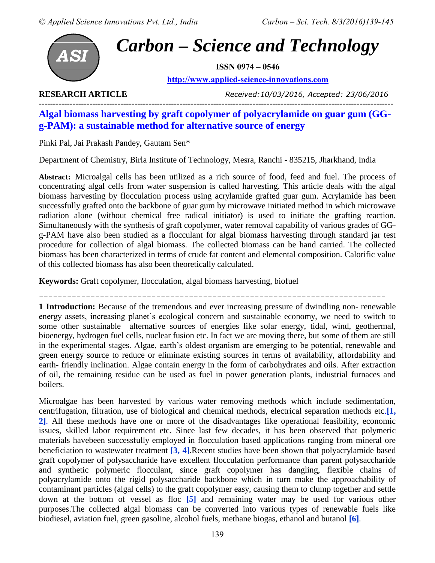

# *Carbon – Science and Technology*

**ISSN 0974 – 0546**

**[http://www.applied-science-innovations.com](http://www.applied-science-innovations.com/)**

**RESEARCH ARTICLE** *Received:10/03/2016, Accepted: 23/06/2016*

# ------------------------------------------------------------------------------------------------------------------------------ **Algal biomass harvesting by graft copolymer of polyacrylamide on guar gum (GGg-PAM): a sustainable method for alternative source of energy**

Pinki Pal, Jai Prakash Pandey, Gautam Sen\*

Department of Chemistry, Birla Institute of Technology, Mesra, Ranchi - 835215, Jharkhand, India

**Abstract:** Microalgal cells has been utilized as a rich source of food, feed and fuel. The process of concentrating algal cells from water suspension is called harvesting. This article deals with the algal biomass harvesting by flocculation process using acrylamide grafted guar gum. Acrylamide has been successfully grafted onto the backbone of guar gum by microwave initiated method in which microwave radiation alone (without chemical free radical initiator) is used to initiate the grafting reaction. Simultaneously with the synthesis of graft copolymer, water removal capability of various grades of GGg-PAM have also been studied as a flocculant for algal biomass harvesting through standard jar test procedure for collection of algal biomass. The collected biomass can be hand carried. The collected biomass has been characterized in terms of crude fat content and elemental composition. Calorific value of this collected biomass has also been theoretically calculated.

**Keywords:** Graft copolymer, flocculation, algal biomass harvesting, biofuel

--------------------------------------------------------------------------

**1 Introduction:** Because of the tremendous and ever increasing pressure of dwindling non- renewable energy assets, increasing planet's ecological concern and sustainable economy, we need to switch to some other sustainable alternative sources of energies like solar energy, tidal, wind, geothermal, bioenergy, hydrogen fuel cells, nuclear fusion etc. In fact we are moving there, but some of them are still in the experimental stages. Algae, earth's oldest organism are emerging to be potential, renewable and green energy source to reduce or eliminate existing sources in terms of availability, affordability and earth- friendly inclination. Algae contain energy in the form of carbohydrates and oils. After extraction of oil, the remaining residue can be used as fuel in power generation plants, industrial furnaces and boilers.

Microalgae has been harvested by various water removing methods which include sedimentation, centrifugation, filtration, use of biological and chemical methods, electrical separation methods etc.**[1, 2]**. All these methods have one or more of the disadvantages like operational feasibility, economic issues, skilled labor requirement etc. Since last few decades, it has been observed that polymeric materials havebeen successfully employed in flocculation based applications ranging from mineral ore beneficiation to wastewater treatment **[3, 4]**.Recent studies have been shown that polyacrylamide based graft copolymer of polysaccharide have excellent flocculation performance than parent polysaccharide and synthetic polymeric flocculant, since graft copolymer has dangling, flexible chains of polyacrylamide onto the rigid polysaccharide backbone which in turn make the approachability of contaminant particles (algal cells) to the graft copolymer easy, causing them to clump together and settle down at the bottom of vessel as floc **[5]** and remaining water may be used for various other purposes.The collected algal biomass can be converted into various types of renewable fuels like biodiesel, aviation fuel, green gasoline, alcohol fuels, methane biogas, ethanol and butanol **[6]**.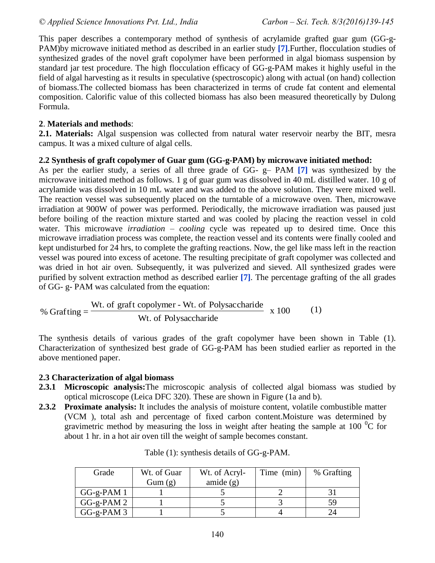This paper describes a contemporary method of synthesis of acrylamide grafted guar gum (GG-g-PAM)by microwave initiated method as described in an earlier study **[7]**.Further, flocculation studies of synthesized grades of the novel graft copolymer have been performed in algal biomass suspension by standard jar test procedure. The high flocculation efficacy of GG-g-PAM makes it highly useful in the field of algal harvesting as it results in speculative (spectroscopic) along with actual (on hand) collection of biomass.The collected biomass has been characterized in terms of crude fat content and elemental composition. Calorific value of this collected biomass has also been measured theoretically by Dulong Formula.

#### **2**. **Materials and methods**:

**2.1. Materials:** Algal suspension was collected from natural water reservoir nearby the BIT, mesra campus. It was a mixed culture of algal cells.

#### **2.2 Synthesis of graft copolymer of Guar gum (GG-g-PAM) by microwave initiated method:**

As per the earlier study, a series of all three grade of GG- g– PAM **[7]** was synthesized by the microwave initiated method as follows. 1 g of guar gum was dissolved in 40 mL distilled water. 10 g of acrylamide was dissolved in 10 mL water and was added to the above solution. They were mixed well. The reaction vessel was subsequently placed on the turntable of a microwave oven. Then, microwave irradiation at 900W of power was performed. Periodically, the microwave irradiation was paused just before boiling of the reaction mixture started and was cooled by placing the reaction vessel in cold water. This microwave *irradiation – cooling* cycle was repeated up to desired time. Once this microwave irradiation process was complete, the reaction vessel and its contents were finally cooled and kept undisturbed for 24 hrs, to complete the grafting reactions. Now, the gel like mass left in the reaction vessel was poured into excess of acetone. The resulting precipitate of graft copolymer was collected and was dried in hot air oven. Subsequently, it was pulverized and sieved. All synthesized grades were purified by solvent extraction method as described earlier **[7]**. The percentage grafting of the all grades of GG- g- PAM was calculated from the equation:

% Grafting = 
$$
\frac{\text{Wt. of graft copolymer - Wt. of Polysaccharide}}{\text{Wt. of Polysaccharide}} \times 100
$$
 (1)

The synthesis details of various grades of the graft copolymer have been shown in Table (1). Characterization of synthesized best grade of GG-g-PAM has been studied earlier as reported in the above mentioned paper.

## **2.3 Characterization of algal biomass**

- **2.3.1 Microscopic analysis:**The microscopic analysis of collected algal biomass was studied by optical microscope (Leica DFC 320). These are shown in Figure (1a and b).
- **2.3.2 Proximate analysis:** It includes the analysis of moisture content, volatile combustible matter (VCM ), total ash and percentage of fixed carbon content.Moisture was determined by gravimetric method by measuring the loss in weight after heating the sample at 100  $^{0}$ C for about 1 hr. in a hot air oven till the weight of sample becomes constant.

| Grade       | Wt. of Guar | Wt. of Acryl- | Time (min) | % Grafting |
|-------------|-------------|---------------|------------|------------|
|             | Gum(g)      | amide $(g)$   |            |            |
| $GG-g-PAM1$ |             |               |            |            |
| $GG-g-PAM2$ |             |               |            | 59         |
| $GG-g-PAM3$ |             |               |            |            |

| Table (1): synthesis details of GG-g-PAM. |  |  |
|-------------------------------------------|--|--|
|-------------------------------------------|--|--|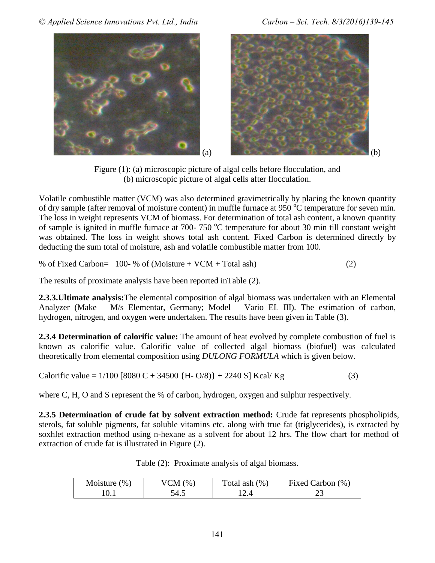*© Applied Science Innovations Pvt. Ltd., India Carbon – Sci. Tech. 8/3(2016)139-145*







Figure (1): (a) microscopic picture of algal cells before flocculation, and (b) microscopic picture of algal cells after flocculation.

Volatile combustible matter (VCM) was also determined gravimetrically by placing the known quantity of dry sample (after removal of moisture content) in muffle furnace at 950  $^{\circ}$ C temperature for seven min. The loss in weight represents VCM of biomass. For determination of total ash content, a known quantity of sample is ignited in muffle furnace at 700- 750  $^{\circ}$ C temperature for about 30 min till constant weight was obtained. The loss in weight shows total ash content. Fixed Carbon is determined directly by deducting the sum total of moisture, ash and volatile combustible matter from 100.

% of Fixed Carbon=  $100-$  % of (Moisture + VCM + Total ash) (2)

The results of proximate analysis have been reported inTable (2).

**2.3.3.Ultimate analysis:**The elemental composition of algal biomass was undertaken with an Elemental Analyzer (Make – M/s Elementar, Germany; Model – Vario EL III). The estimation of carbon, hydrogen, nitrogen, and oxygen were undertaken. The results have been given in Table (3).

**2.3.4 Determination of calorific value:** The amount of heat evolved by complete combustion of fuel is known as calorific value. Calorific value of collected algal biomass (biofuel) was calculated theoretically from elemental composition using *DULONG FORMULA* which is given below.

Calorific value =  $1/100$  [8080 C + 34500 {H- O/8)} + 2240 S] Kcal/ Kg (3)

where C, H, O and S represent the % of carbon, hydrogen, oxygen and sulphur respectively.

**2.3.5 Determination of crude fat by solvent extraction method:** Crude fat represents phospholipids, sterols, fat soluble pigments, fat soluble vitamins etc. along with true fat (triglycerides), is extracted by soxhlet extraction method using n-hexane as a solvent for about 12 hrs. The flow chart for method of extraction of crude fat is illustrated in Figure (2).

Table (2): Proximate analysis of algal biomass.

| Moisture (      | $\gamma_0$ . | (%        | Fixed Carbon (%) |
|-----------------|--------------|-----------|------------------|
| $\mathcal{O}_0$ | M            | Total ash |                  |
| $\cdots$        |              |           | ر _              |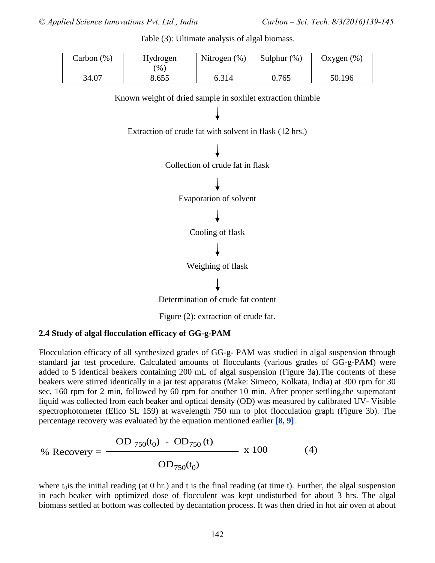Table (3): Ultimate analysis of algal biomass.

| Carbon (%) | Hydrogen | Nitrogen $(\%)$ | Sulphur $(\% )$ | Oxygen $(\%)$ |
|------------|----------|-----------------|-----------------|---------------|
|            | $\%$ .   |                 |                 |               |
| 34.07      | 8.655    | 6.314           | 0.765           | 50.196        |

Known weight of dried sample in soxhlet extraction thimble





Determination of crude fat content

Figure (2): extraction of crude fat.

#### **2.4 Study of algal flocculation efficacy of GG-g-PAM**

Flocculation efficacy of all synthesized grades of GG-g- PAM was studied in algal suspension through standard jar test procedure. Calculated amounts of flocculants (various grades of GG-g-PAM) were added to 5 identical beakers containing 200 mL of algal suspension (Figure 3a).The contents of these beakers were stirred identically in a jar test apparatus (Make: Simeco, Kolkata, India) at 300 rpm for 30 sec, 160 rpm for 2 min, followed by 60 rpm for another 10 min. After proper settling,the supernatant liquid was collected from each beaker and optical density (OD) was measured by calibrated UV- Visible spectrophotometer (Elico SL 159) at wavelength 750 nm to plot flocculation graph (Figure 3b). The percentage recovery was evaluated by the equation mentioned earlier **[8, 9]**.

% Recovery = 
$$
\frac{OD_{750}(t_0) - OD_{750}(t)}{OD_{750}(t_0)} \times 100
$$
 (4)

where t<sub>0</sub> is the initial reading (at 0 hr.) and t is the final reading (at time t). Further, the algal suspension in each beaker with optimized dose of flocculent was kept undisturbed for about 3 hrs. The algal biomass settled at bottom was collected by decantation process. It was then dried in hot air oven at about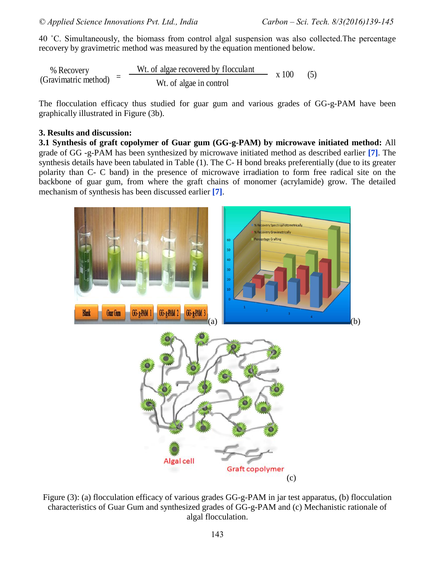40 ˚C. Simultaneously, the biomass from control algal suspension was also collected.The percentage recovery by gravimetric method was measured by the equation mentioned below.

% Recovery (Gravimatric method) = Wt. of algae recovered by flocculant  $x 100 (5)$ W<sub>t.</sub> of algae in control

The flocculation efficacy thus studied for guar gum and various grades of GG-g-PAM have been graphically illustrated in Figure (3b).

#### **3. Results and discussion:**

**3.1 Synthesis of graft copolymer of Guar gum (GG-g-PAM) by microwave initiated method:** All grade of GG -g-PAM has been synthesized by microwave initiated method as described earlier **[7]**. The synthesis details have been tabulated in Table (1). The C- H bond breaks preferentially (due to its greater polarity than C- C band) in the presence of microwave irradiation to form free radical site on the backbone of guar gum, from where the graft chains of monomer (acrylamide) grow. The detailed mechanism of synthesis has been discussed earlier **[7]**.



Figure (3): (a) flocculation efficacy of various grades GG-g-PAM in jar test apparatus, (b) flocculation characteristics of Guar Gum and synthesized grades of GG-g-PAM and (c) Mechanistic rationale of algal flocculation.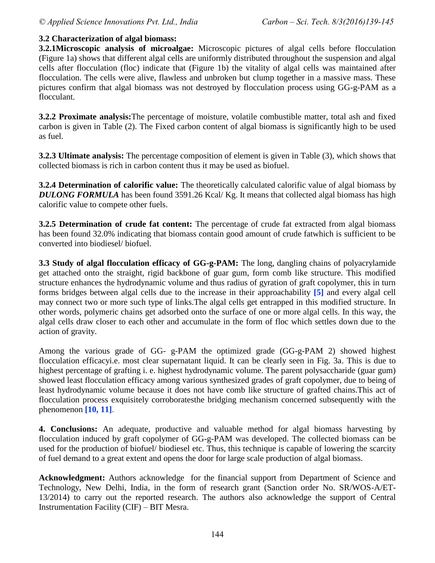## **3.2 Characterization of algal biomass:**

**3.2.1Microscopic analysis of microalgae:** Microscopic pictures of algal cells before flocculation (Figure 1a) shows that different algal cells are uniformly distributed throughout the suspension and algal cells after flocculation (floc) indicate that (Figure 1b) the vitality of algal cells was maintained after flocculation. The cells were alive, flawless and unbroken but clump together in a massive mass. These pictures confirm that algal biomass was not destroyed by flocculation process using GG-g-PAM as a flocculant.

**3.2.2 Proximate analysis:**The percentage of moisture, volatile combustible matter, total ash and fixed carbon is given in Table (2). The Fixed carbon content of algal biomass is significantly high to be used as fuel.

**3.2.3 Ultimate analysis:** The percentage composition of element is given in Table (3), which shows that collected biomass is rich in carbon content thus it may be used as biofuel.

**3.2.4 Determination of calorific value:** The theoretically calculated calorific value of algal biomass by *DULONG FORMULA* has been found 3591.26 Kcal/ Kg. It means that collected algal biomass has high calorific value to compete other fuels.

**3.2.5 Determination of crude fat content:** The percentage of crude fat extracted from algal biomass has been found 32.0% indicating that biomass contain good amount of crude fatwhich is sufficient to be converted into biodiesel/ biofuel.

**3.3 Study of algal flocculation efficacy of GG-g-PAM:** The long, dangling chains of polyacrylamide get attached onto the straight, rigid backbone of guar gum, form comb like structure. This modified structure enhances the hydrodynamic volume and thus radius of gyration of graft copolymer, this in turn forms bridges between algal cells due to the increase in their approachability **[5]** and every algal cell may connect two or more such type of links.The algal cells get entrapped in this modified structure. In other words, polymeric chains get adsorbed onto the surface of one or more algal cells. In this way, the algal cells draw closer to each other and accumulate in the form of floc which settles down due to the action of gravity.

Among the various grade of GG- g-PAM the optimized grade (GG-g-PAM 2) showed highest flocculation efficacyi.e. most clear supernatant liquid. It can be clearly seen in Fig. 3a. This is due to highest percentage of grafting i. e. highest hydrodynamic volume. The parent polysaccharide (guar gum) showed least flocculation efficacy among various synthesized grades of graft copolymer, due to being of least hydrodynamic volume because it does not have comb like structure of grafted chains.This act of flocculation process exquisitely corroboratesthe bridging mechanism concerned subsequently with the phenomenon **[10, 11]**.

**4. Conclusions:** An adequate, productive and valuable method for algal biomass harvesting by flocculation induced by graft copolymer of GG-g-PAM was developed. The collected biomass can be used for the production of biofuel/ biodiesel etc. Thus, this technique is capable of lowering the scarcity of fuel demand to a great extent and opens the door for large scale production of algal biomass.

**Acknowledgment:** Authors acknowledge for the financial support from Department of Science and Technology, New Delhi, India, in the form of research grant (Sanction order No. SR/WOS-A/ET-13/2014) to carry out the reported research. The authors also acknowledge the support of Central Instrumentation Facility (CIF) – BIT Mesra.